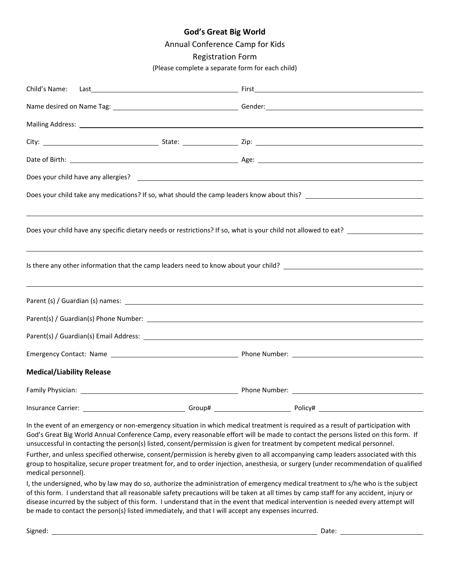## **God's Great Big World**

Annual Conference Camp for Kids

### Registration Form

(Please complete a separate form for each child)

| Child's Name:                    |  |                                                                                                                |  |  |  |  |  |
|----------------------------------|--|----------------------------------------------------------------------------------------------------------------|--|--|--|--|--|
|                                  |  |                                                                                                                |  |  |  |  |  |
|                                  |  |                                                                                                                |  |  |  |  |  |
|                                  |  |                                                                                                                |  |  |  |  |  |
|                                  |  |                                                                                                                |  |  |  |  |  |
|                                  |  |                                                                                                                |  |  |  |  |  |
|                                  |  |                                                                                                                |  |  |  |  |  |
|                                  |  |                                                                                                                |  |  |  |  |  |
|                                  |  | Does your child have any specific dietary needs or restrictions? If so, what is your child not allowed to eat? |  |  |  |  |  |
|                                  |  |                                                                                                                |  |  |  |  |  |
|                                  |  |                                                                                                                |  |  |  |  |  |
|                                  |  |                                                                                                                |  |  |  |  |  |
|                                  |  |                                                                                                                |  |  |  |  |  |
|                                  |  |                                                                                                                |  |  |  |  |  |
|                                  |  |                                                                                                                |  |  |  |  |  |
|                                  |  |                                                                                                                |  |  |  |  |  |
| <b>Medical/Liability Release</b> |  |                                                                                                                |  |  |  |  |  |
|                                  |  |                                                                                                                |  |  |  |  |  |
|                                  |  |                                                                                                                |  |  |  |  |  |

In the event of an emergency or non-emergency situation in which medical treatment is required as a result of participation with God's Great Big World Annual Conference Camp, every reasonable effort will be made to contact the persons listed on this form. If unsuccessful in contacting the person(s) listed, consent/permission is given for treatment by competent medical personnel.

Further, and unless specified otherwise, consent/permission is hereby given to all accompanying camp leaders associated with this group to hospitalize, secure proper treatment for, and to order injection, anesthesia, or surgery (under recommendation of qualified medical personnel).

I, the undersigned, who by law may do so, authorize the administration of emergency medical treatment to s/he who is the subject of this form. I understand that all reasonable safety precautions will be taken at all times by camp staff for any accident, injury or disease incurred by the subject of this form. I understand that in the event that medical intervention is needed every attempt will be made to contact the person(s) listed immediately, and that I will accept any expenses incurred.

Signed: Date: